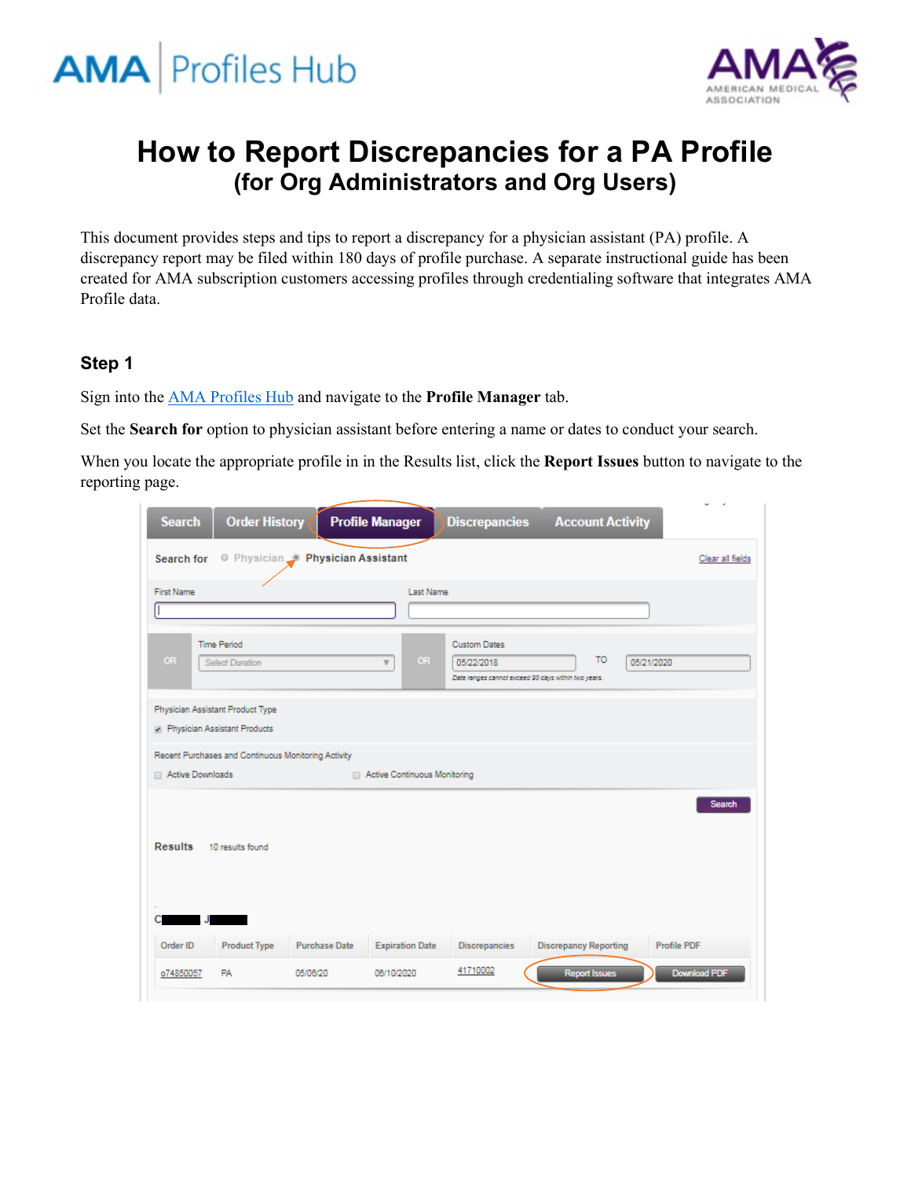



# **How to Report Discrepancies for a PA Profile (for Org Administrators and Org Users)**

This document provides steps and tips to report a discrepancy for a physician assistant (PA) profile. A discrepancy report may be filed within 180 days of profile purchase. A separate instructional guide has been created for AMA subscription customers accessing profiles through credentialing software that integrates AMA Profile data.

#### **Step 1**

Sign into the [AMA Profiles Hub](http://www.amaprofileshub.org/) and navigate to the **Profile Manager** tab.

Set the **Search for** option to physician assistant before entering a name or dates to conduct your search.

When you locate the appropriate profile in in the Results list, click the **Report Issues** button to navigate to the reporting page.

| <b>Search</b>                                                           | <b>Order History</b> | <b>Profile Manager</b>          |                                      | <b>Discrepancies</b>                                                                     | <b>Account Activity</b>      |                  |
|-------------------------------------------------------------------------|----------------------|---------------------------------|--------------------------------------|------------------------------------------------------------------------------------------|------------------------------|------------------|
| Search for                                                              |                      | O Physician Physician Assistant |                                      |                                                                                          |                              | Clear all fields |
| <b>First Name</b>                                                       |                      |                                 | Last Name                            |                                                                                          |                              |                  |
| <b>Time Period</b><br><b>OR</b><br><b>Select Duration</b>               |                      |                                 | <b>OR</b><br>$\overline{\mathbf{v}}$ | <b>Custom Dates</b><br>05/22/2018<br>Date ranges cannot exceed 90 days within two years. | TO <sub>1</sub>              | 05/21/2020       |
| Physician Assistant Product Type<br><b>Physician Assistant Products</b> |                      |                                 |                                      |                                                                                          |                              |                  |
| Recent Purchases and Continuous Monitoring Activity                     |                      |                                 |                                      |                                                                                          |                              |                  |
| Active Downloads                                                        |                      |                                 | Active Continuous Monitoring         |                                                                                          |                              |                  |
| <b>Results</b>                                                          | 10 results found     |                                 |                                      |                                                                                          |                              | Search           |
| Order ID                                                                | <b>Product Type</b>  | <b>Purchase Date</b>            | <b>Expiration Date</b>               | <b>Discrepancies</b>                                                                     | <b>Discrepancy Reporting</b> | Profile PDF      |
| o74850057<br><b>PA</b>                                                  |                      | 05/06/20                        | 06/10/2020                           | 41710002                                                                                 | <b>Report Issues</b>         | Download PDF     |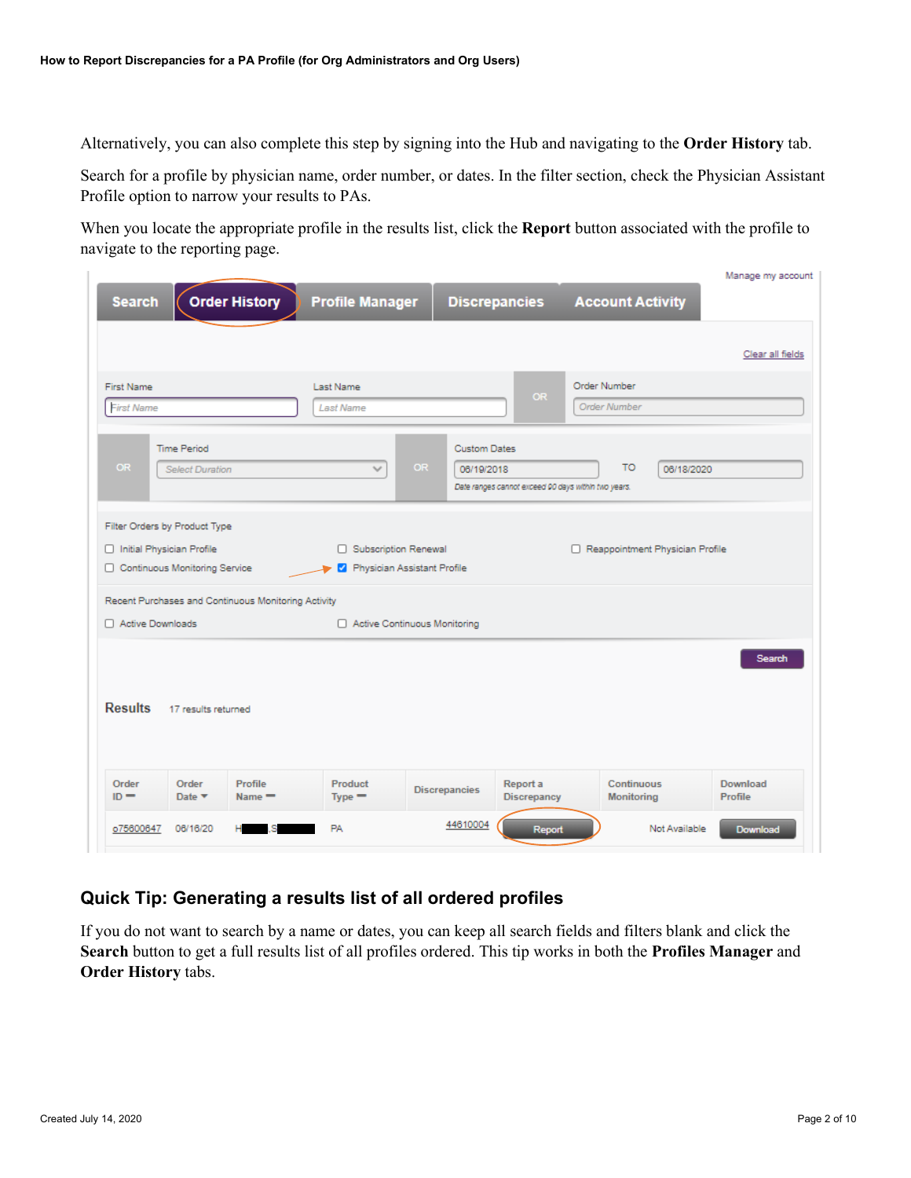Alternatively, you can also complete this step by signing into the Hub and navigating to the **Order History** tab.

Search for a profile by physician name, order number, or dates. In the filter section, check the Physician Assistant Profile option to narrow your results to PAs.

When you locate the appropriate profile in the results list, click the **Report** button associated with the profile to navigate to the reporting page.

|                                                                                                                                                                                             |                               |                                                                                          |                                     | Manage my account   |  |  |
|---------------------------------------------------------------------------------------------------------------------------------------------------------------------------------------------|-------------------------------|------------------------------------------------------------------------------------------|-------------------------------------|---------------------|--|--|
| <b>Order History</b><br><b>Search</b>                                                                                                                                                       | <b>Profile Manager</b>        | <b>Discrepancies</b>                                                                     | <b>Account Activity</b>             |                     |  |  |
|                                                                                                                                                                                             |                               |                                                                                          |                                     | Clear all fields    |  |  |
| <b>First Name</b><br><b>First Name</b>                                                                                                                                                      | Last Name<br><b>Last Name</b> | <b>OR</b>                                                                                | Order Number<br><b>Order Number</b> |                     |  |  |
| <b>Time Period</b><br>OR<br><b>Select Duration</b>                                                                                                                                          | OR.<br>$\checkmark$           | <b>Custom Dates</b><br>06/19/2018<br>Date ranges cannot exceed 90 days within two years. | TO.<br>06/18/2020                   |                     |  |  |
| Filter Orders by Product Type<br>nitial Physician Profile<br>□ Subscription Renewal<br>Reappointment Physician Profile<br>Continuous Monitoring Service<br>Physician Assistant Profile<br>ø |                               |                                                                                          |                                     |                     |  |  |
| Recent Purchases and Continuous Monitoring Activity<br>Active Downloads                                                                                                                     | Active Continuous Monitoring  |                                                                                          |                                     |                     |  |  |
| Search<br><b>Results</b><br>17 results returned                                                                                                                                             |                               |                                                                                          |                                     |                     |  |  |
| Order<br>Profile<br>Order<br>$ID =$<br>Date $\blacktriangledown$<br>$Name =$                                                                                                                | Product<br>$Type =$           | Report a<br><b>Discrepancies</b><br><b>Discrepancy</b>                                   | Continuous<br><b>Monitoring</b>     | Download<br>Profile |  |  |
| 06/16/20<br>o75600647                                                                                                                                                                       | <b>PA</b>                     | 44610004<br>Report                                                                       | Not Available                       | Download            |  |  |

## **Quick Tip: Generating a results list of all ordered profiles**

If you do not want to search by a name or dates, you can keep all search fields and filters blank and click the **Search** button to get a full results list of all profiles ordered. This tip works in both the **Profiles Manager** and **Order History** tabs.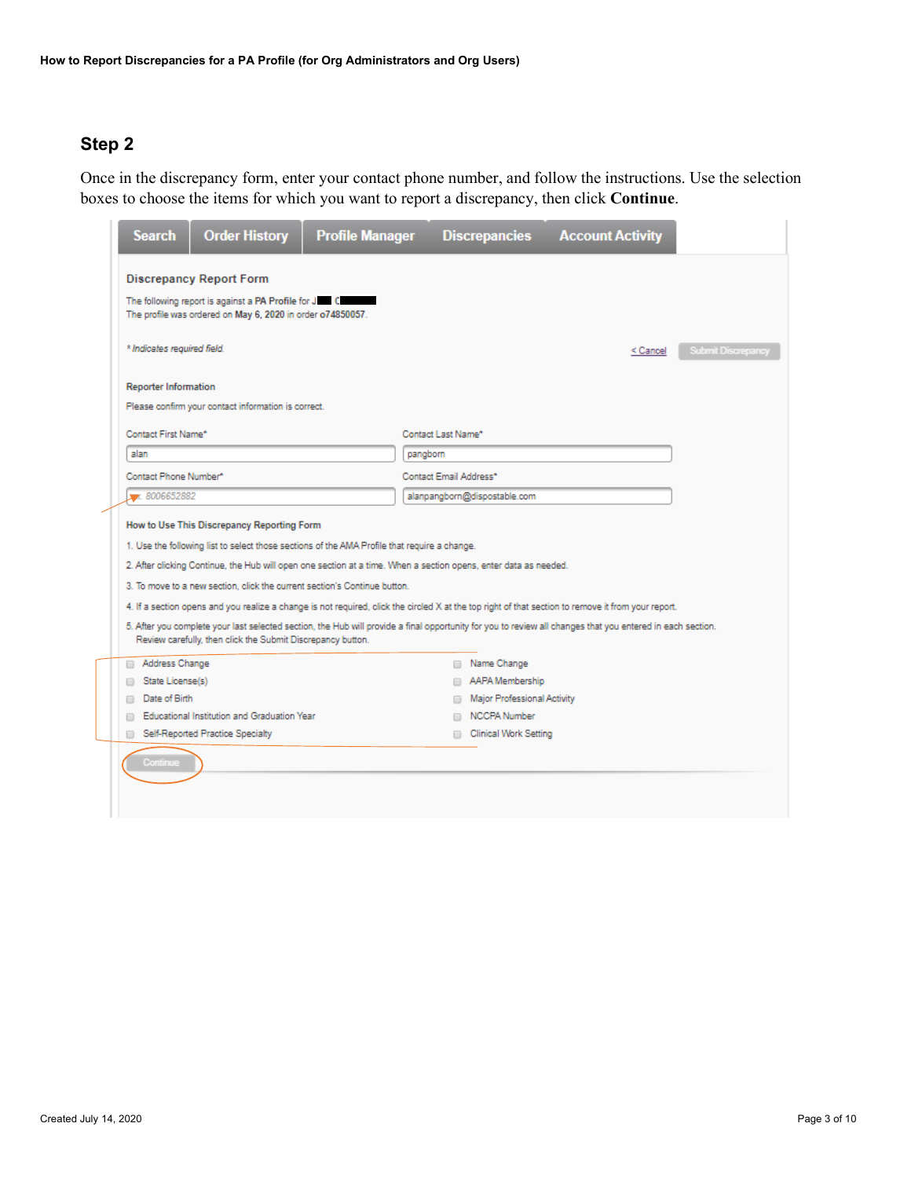Once in the discrepancy form, enter your contact phone number, and follow the instructions. Use the selection boxes to choose the items for which you want to report a discrepancy, then click **Continue**.

|                                                               | <b>Search</b>               | <b>Order History</b>                                                                                                                                                                                                                                                                                                                        | <b>Profile Manager</b> |                        | <b>Discrepancies</b>                         | <b>Account Activity</b>                                                                                                                                    |  |  |
|---------------------------------------------------------------|-----------------------------|---------------------------------------------------------------------------------------------------------------------------------------------------------------------------------------------------------------------------------------------------------------------------------------------------------------------------------------------|------------------------|------------------------|----------------------------------------------|------------------------------------------------------------------------------------------------------------------------------------------------------------|--|--|
|                                                               |                             | <b>Discrepancy Report Form</b><br>The following report is against a PA Profile for June<br>The profile was ordered on May 6, 2020 in order o74850057.                                                                                                                                                                                       |                        |                        |                                              |                                                                                                                                                            |  |  |
| * Indicates required field.<br>Submit Discrepancy<br>< Cancel |                             |                                                                                                                                                                                                                                                                                                                                             |                        |                        |                                              |                                                                                                                                                            |  |  |
|                                                               | <b>Reporter Information</b> | Please confirm your contact information is correct.                                                                                                                                                                                                                                                                                         |                        |                        |                                              |                                                                                                                                                            |  |  |
|                                                               | Contact First Name*         |                                                                                                                                                                                                                                                                                                                                             |                        | Contact Last Name*     |                                              |                                                                                                                                                            |  |  |
|                                                               | alan                        |                                                                                                                                                                                                                                                                                                                                             |                        | pangborn               |                                              |                                                                                                                                                            |  |  |
|                                                               | Contact Phone Number*       |                                                                                                                                                                                                                                                                                                                                             |                        | Contact Email Address* |                                              |                                                                                                                                                            |  |  |
|                                                               | ** 8006652882               |                                                                                                                                                                                                                                                                                                                                             |                        |                        | alanpangborn@dispostable.com                 |                                                                                                                                                            |  |  |
|                                                               |                             | How to Use This Discrepancy Reporting Form<br>1. Use the following list to select those sections of the AMA Profile that require a change.<br>2. After clicking Continue, the Hub will open one section at a time. When a section opens, enter data as needed.<br>3. To move to a new section, click the current section's Continue button. |                        |                        |                                              | 4. If a section opens and you realize a change is not required, click the circled X at the top right of that section to remove it from your report.        |  |  |
|                                                               |                             | Review carefully, then click the Submit Discrepancy button.                                                                                                                                                                                                                                                                                 |                        |                        |                                              | 5. After you complete your last selected section, the Hub will provide a final opportunity for you to review all changes that you entered in each section. |  |  |
|                                                               | Address Change              |                                                                                                                                                                                                                                                                                                                                             |                        |                        | Rame Change                                  |                                                                                                                                                            |  |  |
|                                                               | State License(s)            |                                                                                                                                                                                                                                                                                                                                             |                        |                        | AAPA Membership                              |                                                                                                                                                            |  |  |
|                                                               | Date of Birth<br>≘          |                                                                                                                                                                                                                                                                                                                                             |                        |                        | Major Professional Activity                  |                                                                                                                                                            |  |  |
|                                                               | ▣                           | Educational Institution and Graduation Year<br>Self-Reported Practice Specialty                                                                                                                                                                                                                                                             |                        |                        | NCCPA Number<br><b>Clinical Work Setting</b> |                                                                                                                                                            |  |  |
|                                                               | <b>Continue</b>             |                                                                                                                                                                                                                                                                                                                                             |                        |                        |                                              |                                                                                                                                                            |  |  |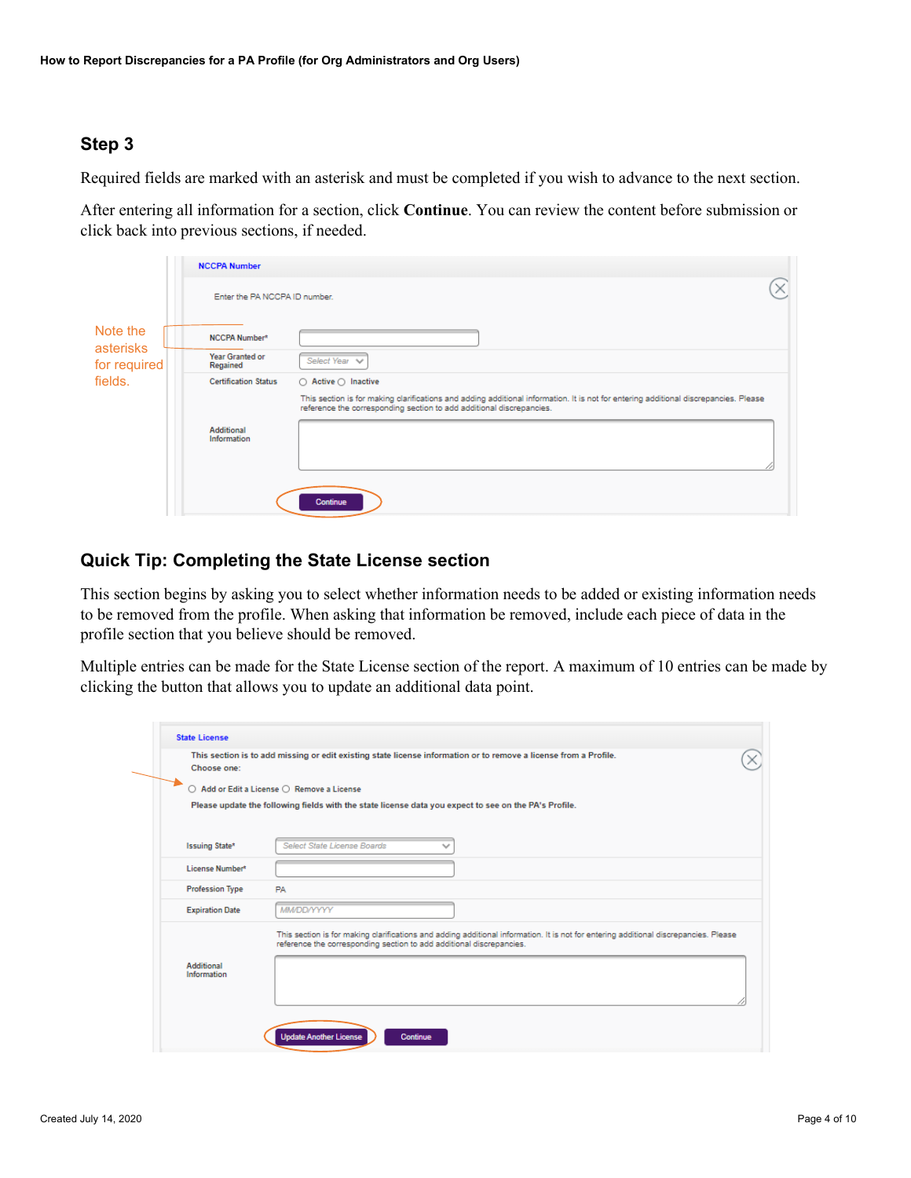Required fields are marked with an asterisk and must be completed if you wish to advance to the next section.

After entering all information for a section, click **Continue**. You can review the content before submission or click back into previous sections, if needed.

| Note the<br>asterisks<br>for required | <b>NCCPA Number</b>           |                                                                                                                                                                                                              |
|---------------------------------------|-------------------------------|--------------------------------------------------------------------------------------------------------------------------------------------------------------------------------------------------------------|
|                                       | Enter the PA NCCPA ID number. |                                                                                                                                                                                                              |
|                                       | NCCPA Number*                 |                                                                                                                                                                                                              |
|                                       | Year Granted or<br>Regained   | Select Year V                                                                                                                                                                                                |
| fields.                               | <b>Certification Status</b>   | $\bigcirc$ Active $\bigcirc$ Inactive                                                                                                                                                                        |
|                                       |                               | This section is for making clarifications and adding additional information. It is not for entering additional discrepancies. Please<br>reference the corresponding section to add additional discrepancies. |
|                                       | Additional<br>Information     |                                                                                                                                                                                                              |
|                                       |                               | Continue                                                                                                                                                                                                     |

#### **Quick Tip: Completing the State License section**

This section begins by asking you to select whether information needs to be added or existing information needs to be removed from the profile. When asking that information be removed, include each piece of data in the profile section that you believe should be removed.

Multiple entries can be made for the State License section of the report. A maximum of 10 entries can be made by clicking the button that allows you to update an additional data point.

| Choose one:                      |                                                                                                                                                                                                              |
|----------------------------------|--------------------------------------------------------------------------------------------------------------------------------------------------------------------------------------------------------------|
|                                  | ○ Add or Edit a License ○ Remove a License<br>Please update the following fields with the state license data you expect to see on the PA's Profile.                                                          |
|                                  |                                                                                                                                                                                                              |
| Issuing State*                   | Select State License Boards                                                                                                                                                                                  |
| License Number*                  |                                                                                                                                                                                                              |
| <b>Profession Type</b>           | <b>PA</b>                                                                                                                                                                                                    |
| <b>Expiration Date</b>           | <b>MM/DD/YYYY</b>                                                                                                                                                                                            |
|                                  | This section is for making clarifications and adding additional information. It is not for entering additional discrepancies. Please<br>reference the corresponding section to add additional discrepancies. |
| <b>Additional</b><br>Information |                                                                                                                                                                                                              |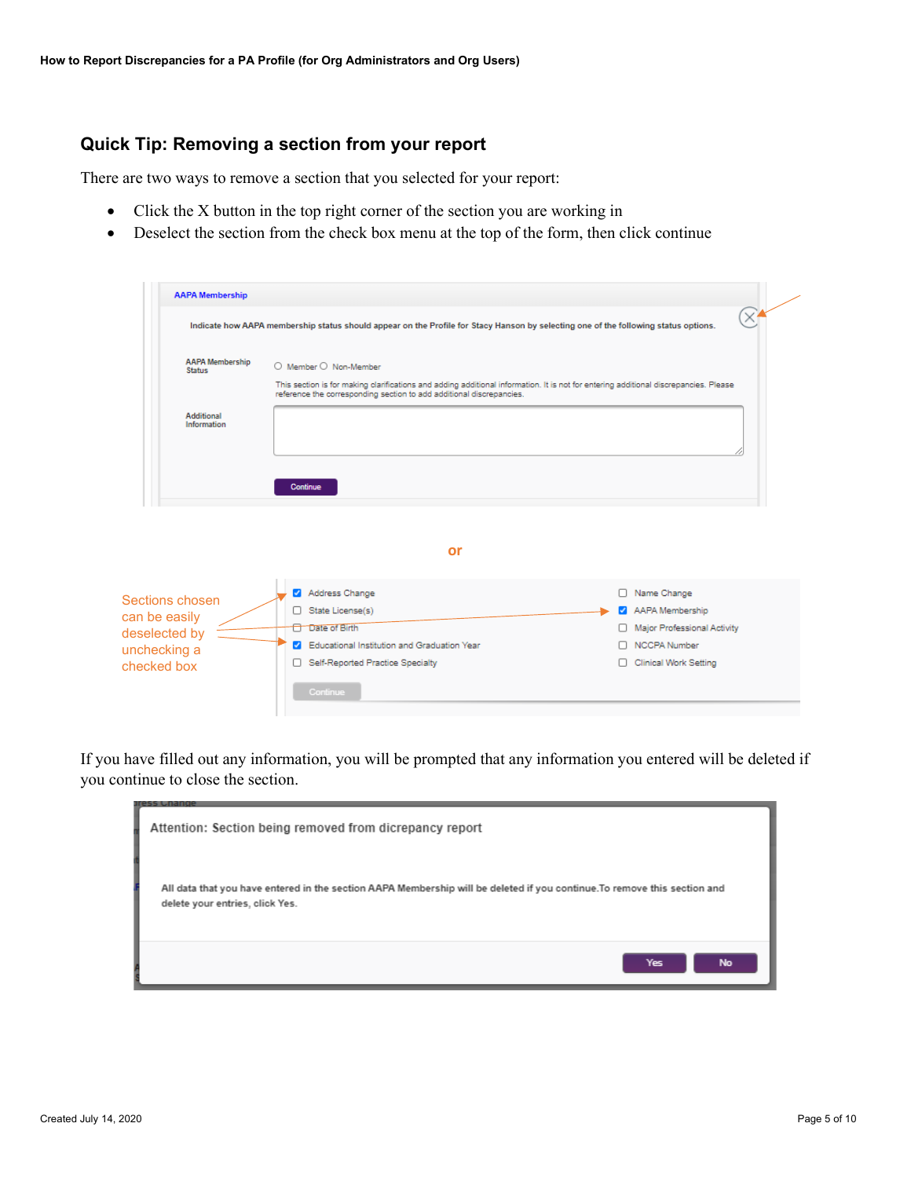#### **Quick Tip: Removing a section from your report**

There are two ways to remove a section that you selected for your report:

- Click the X button in the top right corner of the section you are working in
- Deselect the section from the check box menu at the top of the form, then click continue

| <b>AAPA Membership</b>                                                                                                                                                                                                                                                           |                                                                                                                                     |                             |  |  |  |  |  |
|----------------------------------------------------------------------------------------------------------------------------------------------------------------------------------------------------------------------------------------------------------------------------------|-------------------------------------------------------------------------------------------------------------------------------------|-----------------------------|--|--|--|--|--|
|                                                                                                                                                                                                                                                                                  | Indicate how AAPA membership status should appear on the Profile for Stacy Hanson by selecting one of the following status options. | $\times'$                   |  |  |  |  |  |
| <b>AAPA Membership</b><br>O Member O Non-Member<br><b>Status</b><br>This section is for making clarifications and adding additional information. It is not for entering additional discrepancies. Please<br>reference the corresponding section to add additional discrepancies. |                                                                                                                                     |                             |  |  |  |  |  |
| <b>Additional</b><br>Information                                                                                                                                                                                                                                                 |                                                                                                                                     |                             |  |  |  |  |  |
|                                                                                                                                                                                                                                                                                  | Continue                                                                                                                            |                             |  |  |  |  |  |
|                                                                                                                                                                                                                                                                                  | or                                                                                                                                  |                             |  |  |  |  |  |
| Sections chosen                                                                                                                                                                                                                                                                  | Address Change                                                                                                                      | □ Name Change               |  |  |  |  |  |
| can be easily                                                                                                                                                                                                                                                                    | State License(s)                                                                                                                    | AAPA Membership             |  |  |  |  |  |
| deselected by                                                                                                                                                                                                                                                                    | <b>Date of Birth</b>                                                                                                                | Major Professional Activity |  |  |  |  |  |
| unchecking a                                                                                                                                                                                                                                                                     | Educational Institution and Graduation Year<br>$\mathcal{L}$                                                                        | □ NCCPA Number              |  |  |  |  |  |
|                                                                                                                                                                                                                                                                                  | Self-Reported Practice Specialty<br>$\Box$                                                                                          | Clinical Work Setting       |  |  |  |  |  |
| checked box                                                                                                                                                                                                                                                                      | Continue                                                                                                                            |                             |  |  |  |  |  |

If you have filled out any information, you will be prompted that any information you entered will be deleted if you continue to close the section.

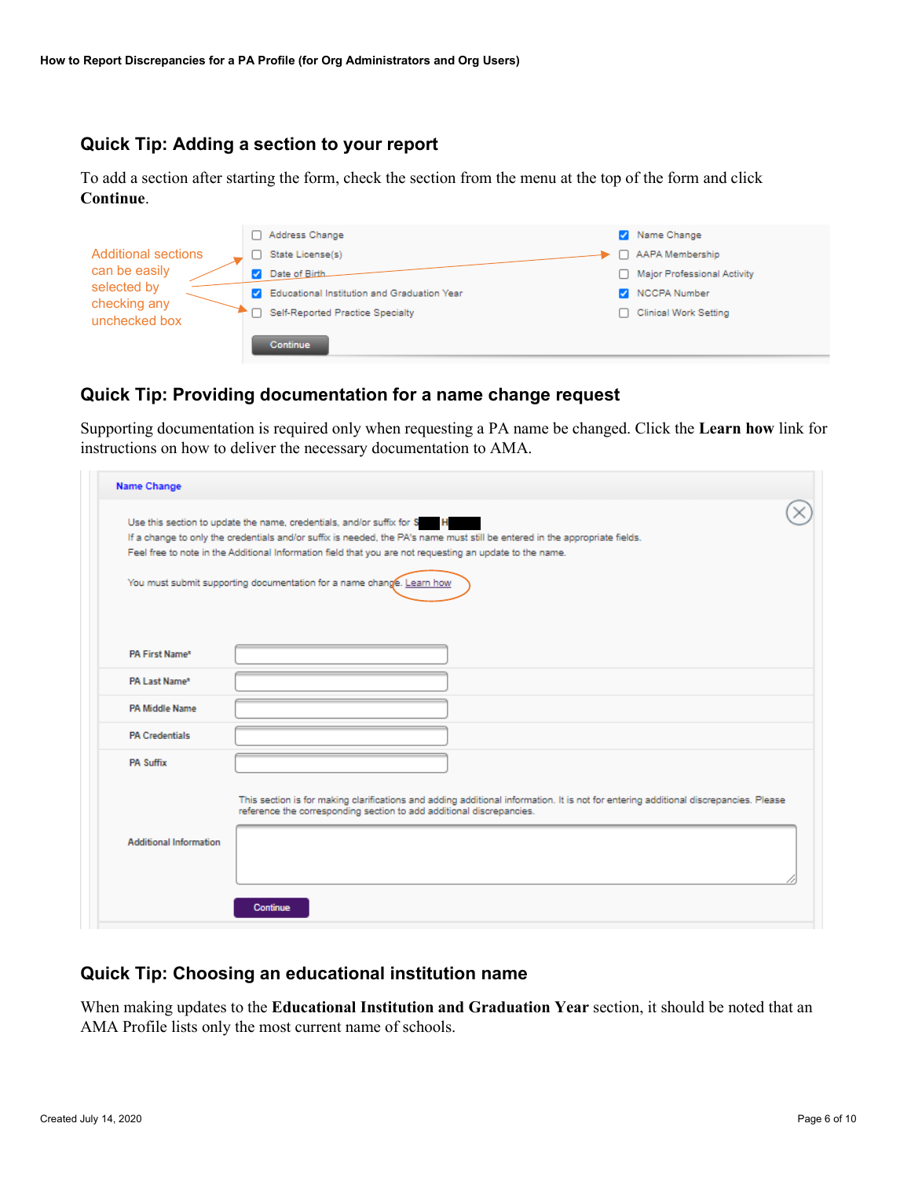#### **Quick Tip: Adding a section to your report**

To add a section after starting the form, check the section from the menu at the top of the form and click **Continue**.

|                               | Address Change                                |      | Name Change                        |
|-------------------------------|-----------------------------------------------|------|------------------------------------|
| <b>Additional sections</b>    | State License(s)                              |      | AAPA Membership                    |
| can be easily                 | Date of Birth                                 | L 1. | <b>Major Professional Activity</b> |
| selected by                   | C Educational Institution and Graduation Year |      | NCCPA Number                       |
| checking any<br>unchecked box | Self-Reported Practice Specialty              |      | <b>Clinical Work Setting</b>       |
|                               | <b>Continue</b>                               |      |                                    |

### **Quick Tip: Providing documentation for a name change request**

Supporting documentation is required only when requesting a PA name be changed. Click the **Learn how** link for instructions on how to deliver the necessary documentation to AMA.

| Name Change                   |                                                                                                                                                                                                                                                                                                                                  |
|-------------------------------|----------------------------------------------------------------------------------------------------------------------------------------------------------------------------------------------------------------------------------------------------------------------------------------------------------------------------------|
|                               | Use this section to update the name, credentials, and/or suffix for S<br>$\mathbf{H}$<br>If a change to only the credentials and/or suffix is needed, the PA's name must still be entered in the appropriate fields.<br>Feel free to note in the Additional Information field that you are not requesting an update to the name. |
|                               | You must submit supporting documentation for a name change. Learn how                                                                                                                                                                                                                                                            |
| PA First Name*                |                                                                                                                                                                                                                                                                                                                                  |
| PA Last Name*                 |                                                                                                                                                                                                                                                                                                                                  |
| <b>PA Middle Name</b>         |                                                                                                                                                                                                                                                                                                                                  |
| <b>PA Credentials</b>         |                                                                                                                                                                                                                                                                                                                                  |
| <b>PA Suffix</b>              |                                                                                                                                                                                                                                                                                                                                  |
|                               | This section is for making clarifications and adding additional information. It is not for entering additional discrepancies. Please<br>reference the corresponding section to add additional discrepancies.                                                                                                                     |
| <b>Additional Information</b> |                                                                                                                                                                                                                                                                                                                                  |
|                               | Continue                                                                                                                                                                                                                                                                                                                         |

#### **Quick Tip: Choosing an educational institution name**

When making updates to the **Educational Institution and Graduation Year** section, it should be noted that an AMA Profile lists only the most current name of schools.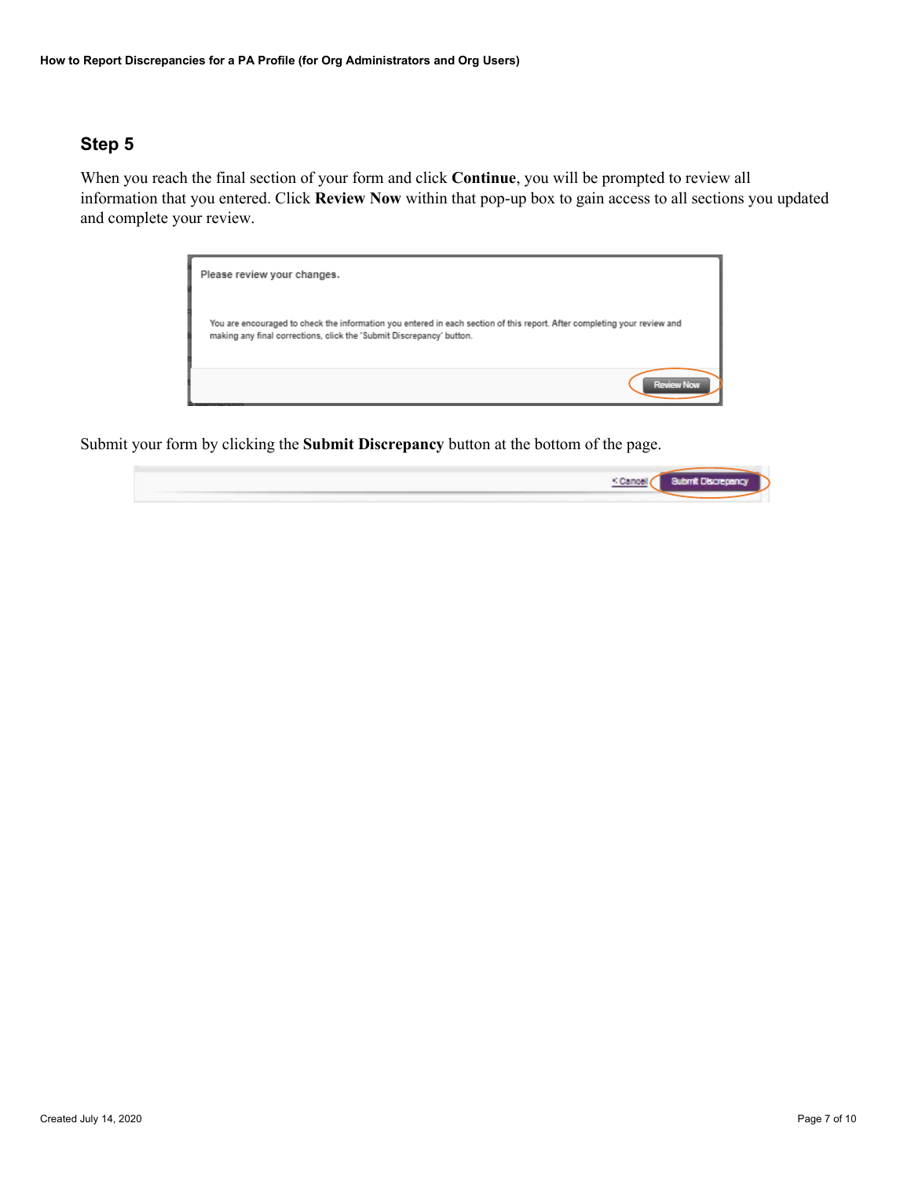When you reach the final section of your form and click **Continue**, you will be prompted to review all information that you entered. Click **Review Now** within that pop-up box to gain access to all sections you updated and complete your review.



Submit your form by clicking the **Submit Discrepancy** button at the bottom of the page.

| <cant< td=""><td>Submit Disconnection</td></cant<> | Submit Disconnection |
|----------------------------------------------------|----------------------|
|                                                    |                      |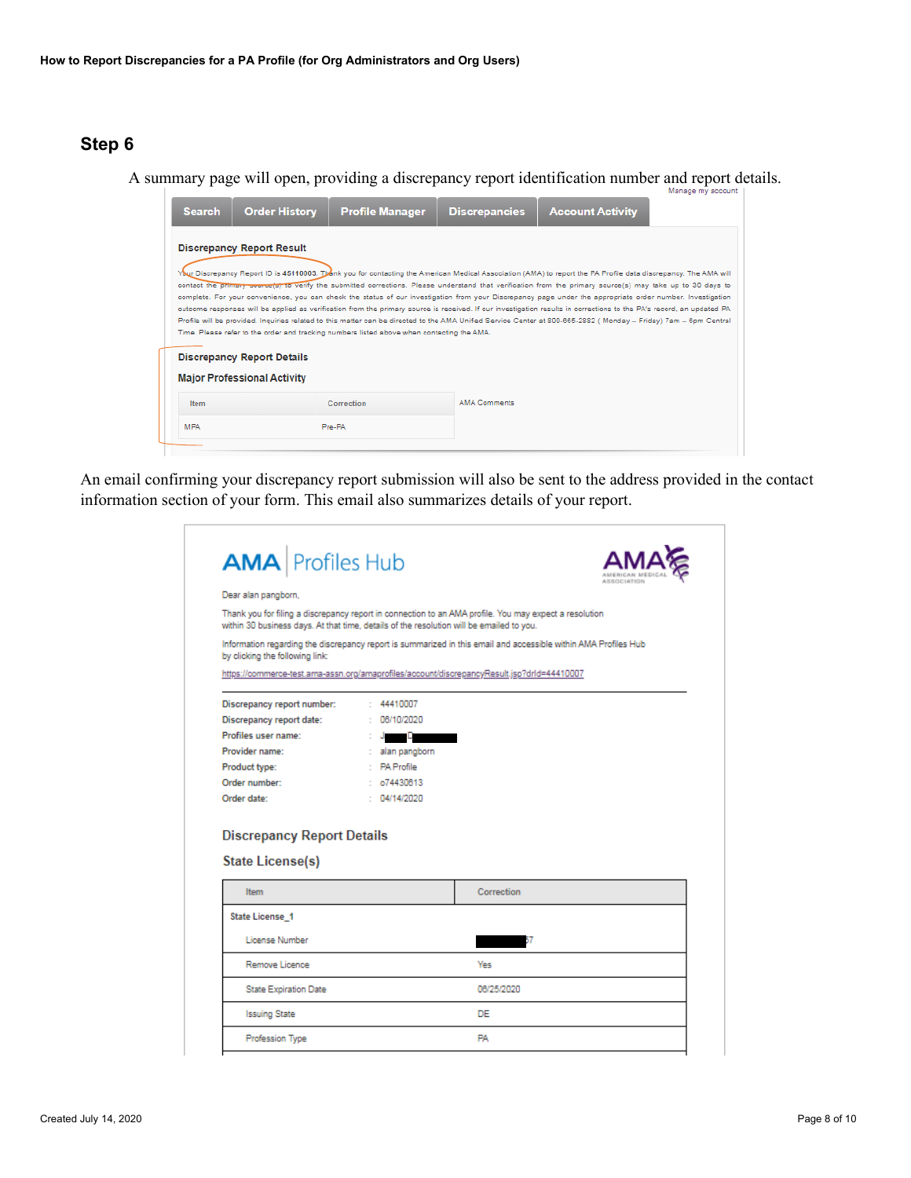A summary page will open, providing a discrepancy report identification number and report details.



An email confirming your discrepancy report submission will also be sent to the address provided in the contact information section of your form. This email also summarizes details of your report.

| <b>AMA</b> Profiles Hub                                                                  |                     | A R R CLC LAT VID                                                                                               |
|------------------------------------------------------------------------------------------|---------------------|-----------------------------------------------------------------------------------------------------------------|
| Dear alan pangborn.                                                                      |                     |                                                                                                                 |
| within 30 business days. At that time, details of the resolution will be emailed to you. |                     | Thank you for filing a discrepancy report in connection to an AMA profile. You may expect a resolution          |
| by clicking the following link:                                                          |                     | Information regarding the discrepancy report is summarized in this email and accessible within AMA Profiles Hub |
|                                                                                          |                     | https://commerce-test.ama-assn.org/amaprofiles/account/discrepancyResult.jsp?drld=44410007                      |
| Discrepancy report number:                                                               | : 44410007          |                                                                                                                 |
| Discrepancy report date:                                                                 | 06/10/2020          |                                                                                                                 |
| Profiles user name:                                                                      | D                   |                                                                                                                 |
| Provider name:                                                                           | alan pangborn<br>÷. |                                                                                                                 |
| Product type:                                                                            | : PA Profile        |                                                                                                                 |
| Order number:                                                                            | : 674430613         |                                                                                                                 |
| Order date:                                                                              | : 04/14/2020        |                                                                                                                 |
|                                                                                          |                     |                                                                                                                 |
| <b>Discrepancy Report Details</b><br>State License(s)                                    |                     |                                                                                                                 |
| Item                                                                                     |                     | Correction                                                                                                      |
| State License 1                                                                          |                     |                                                                                                                 |
| License Number                                                                           |                     | 17                                                                                                              |
| Remove Licence                                                                           |                     | Yes                                                                                                             |
| <b>State Expiration Date</b>                                                             |                     | 06/25/2020                                                                                                      |
| <b>Issuing State</b>                                                                     |                     | DF.                                                                                                             |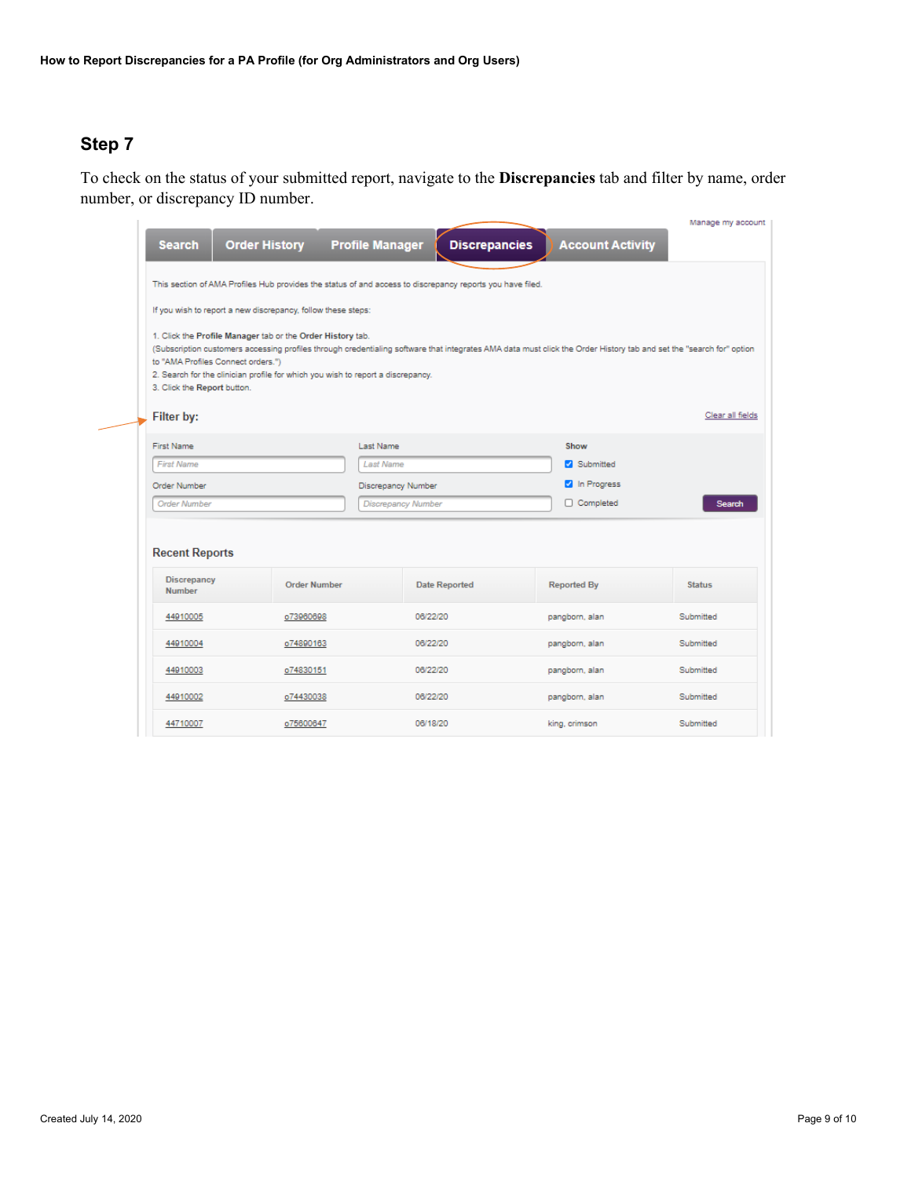To check on the status of your submitted report, navigate to the **Discrepancies** tab and filter by name, order number, or discrepancy ID number.

| <b>Account Activity</b><br><b>Order History</b><br><b>Profile Manager</b><br><b>Discrepancies</b><br><b>Search</b><br>This section of AMA Profiles Hub provides the status of and access to discrepancy reports you have filed.<br>If you wish to report a new discrepancy, follow these steps:<br>1. Click the Profile Manager tab or the Order History tab.<br>(Subscription customers accessing profiles through credentialing software that integrates AMA data must click the Order History tab and set the "search for" option<br>to "AMA Profiles Connect orders.")<br>2. Search for the clinician profile for which you wish to report a discrepancy.<br>3. Click the Report button.<br>Filter by:<br>First Name<br><b>Last Name</b><br>Show<br>Submitted<br><b>First Name</b><br><b>Last Name</b><br><sup>2</sup> In Progress<br>Order Number<br>Discrepancy Number<br>□ Completed<br><b>Order Number</b><br><b>Discrepancy Number</b><br>Search<br><b>Recent Reports</b><br><b>Discrepancy</b><br><b>Order Number</b><br><b>Date Reported</b><br><b>Reported By</b><br><b>Status</b><br><b>Number</b><br>06/22/20<br>Submitted<br>o73960698<br>pangborn, alan<br>44910005<br>06/22/20<br>Submitted<br>44910004<br>o74890163<br>pangborn, alan<br>06/22/20<br>Submitted<br>44910003<br>o74830151<br>pangborn, alan<br>06/22/20<br>Submitted<br>44910002<br>o74430038<br>pangborn, alan<br>Submitted<br>06/18/20<br>44710007<br>o75600647<br>king, crimson |  |  |  |  |  | Manage my account |  |  |
|--------------------------------------------------------------------------------------------------------------------------------------------------------------------------------------------------------------------------------------------------------------------------------------------------------------------------------------------------------------------------------------------------------------------------------------------------------------------------------------------------------------------------------------------------------------------------------------------------------------------------------------------------------------------------------------------------------------------------------------------------------------------------------------------------------------------------------------------------------------------------------------------------------------------------------------------------------------------------------------------------------------------------------------------------------------------------------------------------------------------------------------------------------------------------------------------------------------------------------------------------------------------------------------------------------------------------------------------------------------------------------------------------------------------------------------------------------------------|--|--|--|--|--|-------------------|--|--|
|                                                                                                                                                                                                                                                                                                                                                                                                                                                                                                                                                                                                                                                                                                                                                                                                                                                                                                                                                                                                                                                                                                                                                                                                                                                                                                                                                                                                                                                                    |  |  |  |  |  |                   |  |  |
|                                                                                                                                                                                                                                                                                                                                                                                                                                                                                                                                                                                                                                                                                                                                                                                                                                                                                                                                                                                                                                                                                                                                                                                                                                                                                                                                                                                                                                                                    |  |  |  |  |  |                   |  |  |
|                                                                                                                                                                                                                                                                                                                                                                                                                                                                                                                                                                                                                                                                                                                                                                                                                                                                                                                                                                                                                                                                                                                                                                                                                                                                                                                                                                                                                                                                    |  |  |  |  |  |                   |  |  |
|                                                                                                                                                                                                                                                                                                                                                                                                                                                                                                                                                                                                                                                                                                                                                                                                                                                                                                                                                                                                                                                                                                                                                                                                                                                                                                                                                                                                                                                                    |  |  |  |  |  |                   |  |  |
|                                                                                                                                                                                                                                                                                                                                                                                                                                                                                                                                                                                                                                                                                                                                                                                                                                                                                                                                                                                                                                                                                                                                                                                                                                                                                                                                                                                                                                                                    |  |  |  |  |  | Clear all fields  |  |  |
|                                                                                                                                                                                                                                                                                                                                                                                                                                                                                                                                                                                                                                                                                                                                                                                                                                                                                                                                                                                                                                                                                                                                                                                                                                                                                                                                                                                                                                                                    |  |  |  |  |  |                   |  |  |
|                                                                                                                                                                                                                                                                                                                                                                                                                                                                                                                                                                                                                                                                                                                                                                                                                                                                                                                                                                                                                                                                                                                                                                                                                                                                                                                                                                                                                                                                    |  |  |  |  |  |                   |  |  |
|                                                                                                                                                                                                                                                                                                                                                                                                                                                                                                                                                                                                                                                                                                                                                                                                                                                                                                                                                                                                                                                                                                                                                                                                                                                                                                                                                                                                                                                                    |  |  |  |  |  |                   |  |  |
|                                                                                                                                                                                                                                                                                                                                                                                                                                                                                                                                                                                                                                                                                                                                                                                                                                                                                                                                                                                                                                                                                                                                                                                                                                                                                                                                                                                                                                                                    |  |  |  |  |  |                   |  |  |
|                                                                                                                                                                                                                                                                                                                                                                                                                                                                                                                                                                                                                                                                                                                                                                                                                                                                                                                                                                                                                                                                                                                                                                                                                                                                                                                                                                                                                                                                    |  |  |  |  |  |                   |  |  |
|                                                                                                                                                                                                                                                                                                                                                                                                                                                                                                                                                                                                                                                                                                                                                                                                                                                                                                                                                                                                                                                                                                                                                                                                                                                                                                                                                                                                                                                                    |  |  |  |  |  |                   |  |  |
|                                                                                                                                                                                                                                                                                                                                                                                                                                                                                                                                                                                                                                                                                                                                                                                                                                                                                                                                                                                                                                                                                                                                                                                                                                                                                                                                                                                                                                                                    |  |  |  |  |  |                   |  |  |
|                                                                                                                                                                                                                                                                                                                                                                                                                                                                                                                                                                                                                                                                                                                                                                                                                                                                                                                                                                                                                                                                                                                                                                                                                                                                                                                                                                                                                                                                    |  |  |  |  |  |                   |  |  |
|                                                                                                                                                                                                                                                                                                                                                                                                                                                                                                                                                                                                                                                                                                                                                                                                                                                                                                                                                                                                                                                                                                                                                                                                                                                                                                                                                                                                                                                                    |  |  |  |  |  |                   |  |  |
|                                                                                                                                                                                                                                                                                                                                                                                                                                                                                                                                                                                                                                                                                                                                                                                                                                                                                                                                                                                                                                                                                                                                                                                                                                                                                                                                                                                                                                                                    |  |  |  |  |  |                   |  |  |